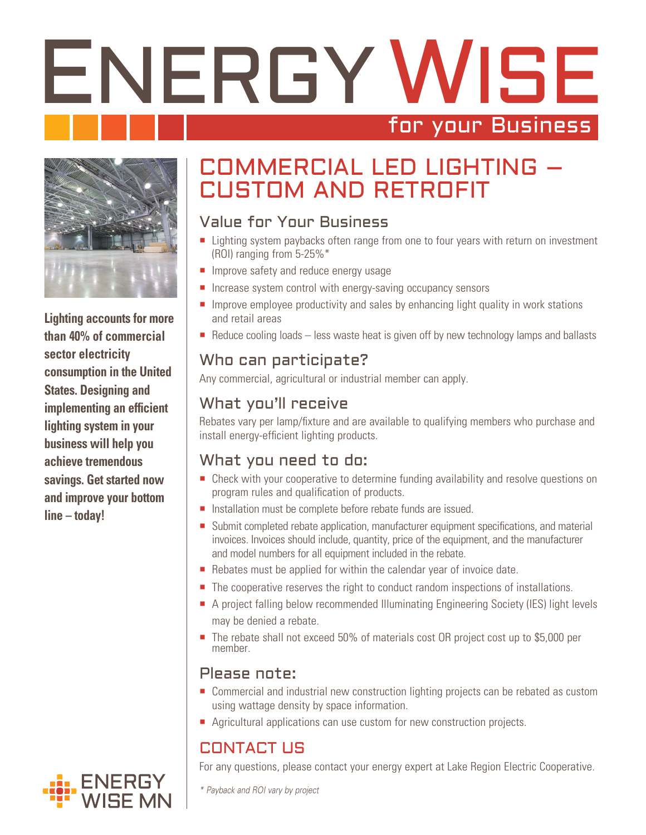# ENERGY WISE for your Business



**Lighting accounts for more than 40% of commercial sector electricity consumption in the United States. Designing and implementing an efficient lighting system in your business will help you achieve tremendous savings. Get started now and improve your bottom line – today!**

## COMMERCIAL LED LIGHTING – CUSTOM AND RETROFIT

## Value for Your Business

- Lighting system paybacks often range from one to four years with return on investment (ROI) ranging from 5-25%\*
- **Improve safety and reduce energy usage**
- $\blacksquare$  Increase system control with energy-saving occupancy sensors
- Improve employee productivity and sales by enhancing light quality in work stations and retail areas
- Reduce cooling loads less waste heat is given off by new technology lamps and ballasts

## Who can participate?

Any commercial, agricultural or industrial member can apply.

## What you'll receive

Rebates vary per lamp/fixture and are available to qualifying members who purchase and install energy-efficient lighting products.

## What you need to do:

- **Check with your cooperative to determine funding availability and resolve questions on** program rules and qualification of products.
- Installation must be complete before rebate funds are issued.
- Submit completed rebate application, manufacturer equipment specifications, and material invoices. Invoices should include, quantity, price of the equipment, and the manufacturer and model numbers for all equipment included in the rebate.
- Rebates must be applied for within the calendar year of invoice date.
- The cooperative reserves the right to conduct random inspections of installations.
- A project falling below recommended Illuminating Engineering Society (IES) light levels may be denied a rebate.
- The rebate shall not exceed 50% of materials cost OR project cost up to \$5,000 per member.

## Please note:

- Commercial and industrial new construction lighting projects can be rebated as custom using wattage density by space information.
- Agricultural applications can use custom for new construction projects.

## CONTACT US

For any questions, please contact your energy expert at Lake Region Electric Cooperative.



*\* Payback and ROI vary by project*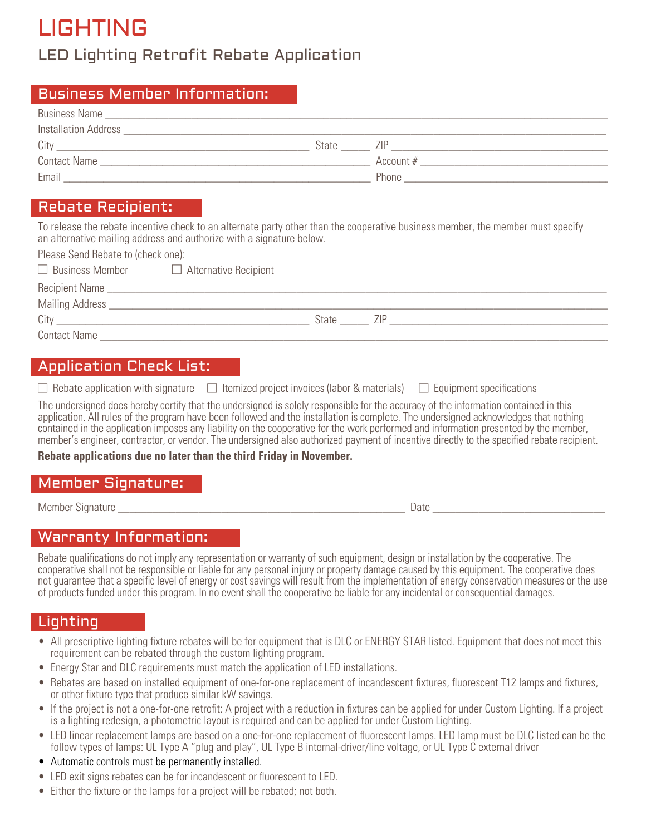# LIGHTING

## LED Lighting Retrofit Rebate Application

#### Business Member Information:

| <b>Business Name</b>                                                                                                                                                                                                                |       |           |
|-------------------------------------------------------------------------------------------------------------------------------------------------------------------------------------------------------------------------------------|-------|-----------|
| Installation Address <b>Executive Services</b> and the service of the service of the service of the service of the service of the service of the service of the service of the service of the service of the service of the service |       |           |
| City                                                                                                                                                                                                                                | State |           |
| <b>Contact Name</b>                                                                                                                                                                                                                 |       | Account # |
| Email                                                                                                                                                                                                                               |       | Phone     |

### Rebate Recipient:

To release the rebate incentive check to an alternate party other than the cooperative business member, the member must specify an alternative mailing address and authorize with a signature below.

Please Send Rebate to (check one):

| $\Box$ Business Member | $\Box$ Alternative Recipient |       |     |
|------------------------|------------------------------|-------|-----|
|                        |                              |       |     |
|                        |                              |       |     |
| City                   |                              | State | 7IP |
| <b>Contact Name</b>    |                              |       |     |
|                        |                              |       |     |

## Application Check List:

|  | $\Box$ Rebate application with signature $\Box$ Itemized project invoices (labor & materials) $\Box$ Equipment specifications |  |
|--|-------------------------------------------------------------------------------------------------------------------------------|--|
|--|-------------------------------------------------------------------------------------------------------------------------------|--|

The undersigned does hereby certify that the undersigned is solely responsible for the accuracy of the information contained in this application. All rules of the program have been followed and the installation is complete. The undersigned acknowledges that nothing contained in the application imposes any liability on the cooperative for the work performed and information presented by the member, member's engineer, contractor, or vendor. The undersigned also authorized payment of incentive directly to the specified rebate recipient.

**Rebate applications due no later than the third Friday in November.**

## Member Signature:

Member Signature \_\_\_\_\_\_\_\_\_\_\_\_\_\_\_\_\_\_\_\_\_\_\_\_\_\_\_\_\_\_\_\_\_\_\_\_\_\_\_\_\_\_\_\_\_\_\_\_\_\_ Date \_\_\_\_\_\_\_\_\_\_\_\_\_\_\_\_\_\_\_\_\_\_\_\_\_\_\_\_\_\_

### Warranty Information:

Rebate qualifications do not imply any representation or warranty of such equipment, design or installation by the cooperative. The cooperative shall not be responsible or liable for any personal injury or property damage caused by this equipment. The cooperative does not guarantee that a specific level of energy or cost savings will result from the implementation of energy conservation measures or the use of products funded under this program. In no event shall the cooperative be liable for any incidental or consequential damages.

### Lighting

- All prescriptive lighting fixture rebates will be for equipment that is DLC or ENERGY STAR listed. Equipment that does not meet this requirement can be rebated through the custom lighting program.
- Energy Star and DLC requirements must match the application of LED installations.
- Rebates are based on installed equipment of one-for-one replacement of incandescent fixtures, fluorescent T12 lamps and fixtures, or other fixture type that produce similar kW savings.
- If the project is not a one-for-one retrofit: A project with a reduction in fixtures can be applied for under Custom Lighting. If a project is a lighting redesign, a photometric layout is required and can be applied for under Custom Lighting.
- LED linear replacement lamps are based on a one-for-one replacement of fluorescent lamps. LED lamp must be DLC listed can be the follow types of lamps: UL Type A "plug and play", UL Type B internal-driver/line voltage, or UL Type C external driver
- Automatic controls must be permanently installed.
- LED exit signs rebates can be for incandescent or fluorescent to LED.
- Either the fixture or the lamps for a project will be rebated; not both.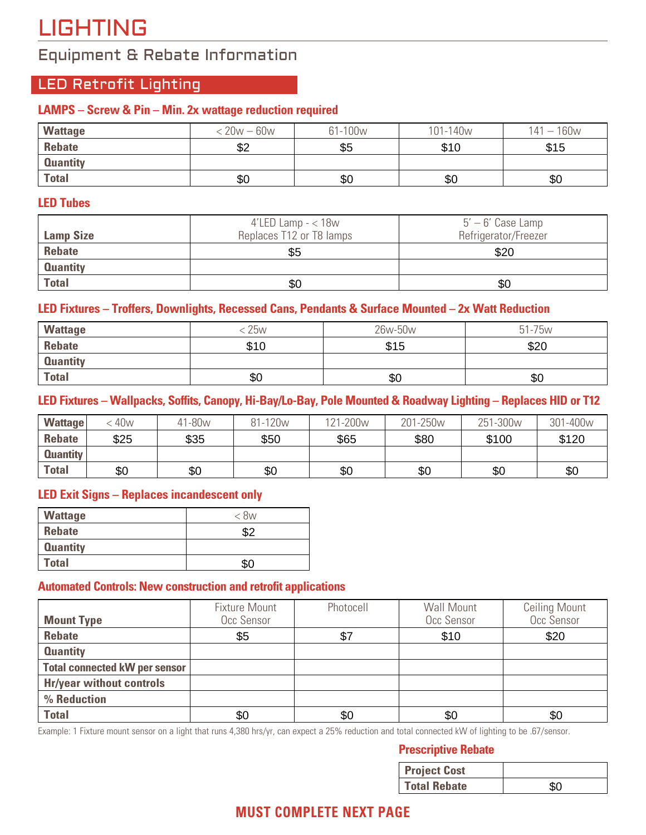# LIGHTING

## Equipment & Rebate Information

## LED Retrofit Lighting

#### **LAMPS – Screw & Pin – Min. 2x wattage reduction required**

| <b>Wattage</b>  | $< 20w - 60w$ | 61-100w | 101-140 <sub>w</sub> | $141 - 160w$ |
|-----------------|---------------|---------|----------------------|--------------|
| Rebate          | \$2           | \$5     | \$10                 | \$15         |
| <b>Quantity</b> |               |         |                      |              |
| <b>Total</b>    | \$0           | \$0     | \$0                  | \$0          |

#### **LED Tubes**

| <b>Lamp Size</b> | 4'LED Lamp $-$ < 18 $w$<br>Replaces T12 or T8 lamps | $5' - 6'$ Case Lamp<br>Refrigerator/Freezer |
|------------------|-----------------------------------------------------|---------------------------------------------|
| <b>Rebate</b>    | \$5                                                 | \$20                                        |
| <b>Quantity</b>  |                                                     |                                             |
| <b>Total</b>     | \$0                                                 | \$0                                         |

#### **LED Fixtures – Troffers, Downlights, Recessed Cans, Pendants & Surface Mounted – 2x Watt Reduction**

| <b>Wattage</b>  | <b>25w</b> | 26w-50w | 51-75w |
|-----------------|------------|---------|--------|
| <b>Rebate</b>   | \$10       | \$15    | \$20   |
| <b>Quantity</b> |            |         |        |
| <b>Total</b>    | \$0        | \$0     | \$0    |

#### **LED Fixtures – Wallpacks, Soffits, Canopy, Hi-Bay/Lo-Bay, Pole Mounted & Roadway Lighting – Replaces HID or T12**

| <b>Wattage</b>  | 40 <sub>w</sub> | 41-80w | 81-120 <sub>w</sub> | <sup>1</sup> 21-200w | 201-250w | 251-300 <sub>w</sub> | 301-400w |
|-----------------|-----------------|--------|---------------------|----------------------|----------|----------------------|----------|
| <b>Rebate</b>   | \$25            | \$35   | \$50                | \$65                 | \$80     | \$100                | \$120    |
| <b>Quantity</b> |                 |        |                     |                      |          |                      |          |
| <b>Total</b>    | \$0             | \$0    | \$0                 | \$0                  | \$0      | \$0                  | \$0      |

#### **LED Exit Signs – Replaces incandescent only**

| <b>Wattage</b>  | < 8w |
|-----------------|------|
| <b>Rebate</b>   | \$2  |
| <b>Quantity</b> |      |
| <b>Total</b>    | \$0  |

#### **Automated Controls: New construction and retrofit applications**

| <b>Mount Type</b>                    | <b>Fixture Mount</b><br>Occ Sensor | Photocell | Wall Mount<br>Occ Sensor | <b>Ceiling Mount</b><br>Occ Sensor |
|--------------------------------------|------------------------------------|-----------|--------------------------|------------------------------------|
| <b>Rebate</b>                        | \$5                                | \$7       | \$10                     | \$20                               |
| <b>Quantity</b>                      |                                    |           |                          |                                    |
| <b>Total connected kW per sensor</b> |                                    |           |                          |                                    |
| <b>Hr/year without controls</b>      |                                    |           |                          |                                    |
| % Reduction                          |                                    |           |                          |                                    |
| <b>Total</b>                         | \$0                                | \$0       | \$0                      | \$0                                |

Example: 1 Fixture mount sensor on a light that runs 4,380 hrs/yr, can expect a 25% reduction and total connected kW of lighting to be .67/sensor.

#### **Prescriptive Rebate**

| \$0                                                                                         | \$0 |                     |    |  |  |
|---------------------------------------------------------------------------------------------|-----|---------------------|----|--|--|
| 380 hrs/yr, can expect a 25% reduction and total connected kW of lighting to be .67/sensor. |     |                     |    |  |  |
| <b>Prescriptive Rebate</b>                                                                  |     |                     |    |  |  |
|                                                                                             |     | <b>Project Cost</b> |    |  |  |
|                                                                                             |     | <b>Total Rebate</b> | 80 |  |  |

## **MUST COMPLETE NEXT PAGE**